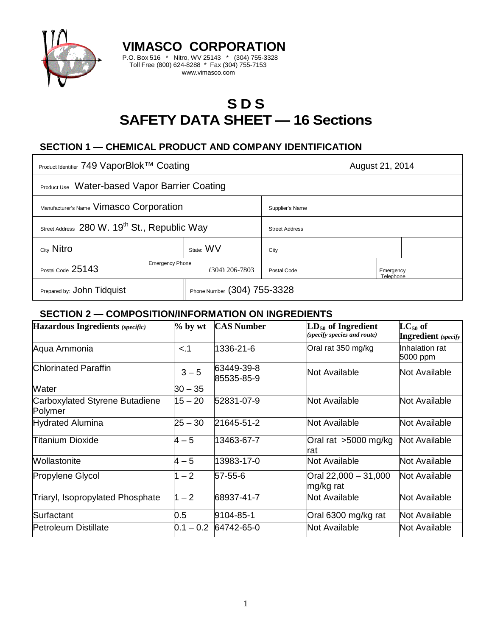

# **S D S SAFETY DATA SHEET — 16 Sections**

# **SECTION 1 — CHEMICAL PRODUCT AND COMPANY IDENTIFICATION**

**VIMASCO CORPORATION** P.O. Box 516 \* Nitro, WV 25143 \* (304) 755-3328 Toll Free (800) 624-8288 \* Fax (304) 755-7153 www.vimasco.com

| Product Identifier 749 VaporBlok™ Coating                |                        |                             |                       | August 21, 2014        |  |
|----------------------------------------------------------|------------------------|-----------------------------|-----------------------|------------------------|--|
| <b>Product Use</b> Water-based Vapor Barrier Coating     |                        |                             |                       |                        |  |
| Manufacturer's Name Vimasco Corporation                  |                        |                             | Supplier's Name       |                        |  |
| Street Address 280 W. 19 <sup>th</sup> St., Republic Way |                        |                             | <b>Street Address</b> |                        |  |
| City Nitro                                               |                        | State: WV                   | City                  |                        |  |
| Postal Code 25143                                        | <b>Emergency Phone</b> | $(304)$ 206-7803            | Postal Code           | Emergency<br>Telephone |  |
| Prepared by: John Tidquist                               |                        | Phone Number (304) 755-3328 |                       |                        |  |

#### **SECTION 2 — COMPOSITION/INFORMATION ON INGREDIENTS**

| <b>Hazardous Ingredients</b> (specific)   | $%$ by wt   | <b>CAS Number</b>        | $LD_{50}$ of Ingredient<br>(specify species and route) | $LC_{50}$ of<br><b>Ingredient</b> (specify |
|-------------------------------------------|-------------|--------------------------|--------------------------------------------------------|--------------------------------------------|
| Aqua Ammonia                              | < 1         | 1336-21-6                | Oral rat 350 mg/kg                                     | Inhalation rat<br>5000 ppm                 |
| Chlorinated Paraffin                      | $3 - 5$     | 63449-39-8<br>85535-85-9 | Not Available                                          | Not Available                              |
| <b>Water</b>                              | $30 - 35$   |                          |                                                        |                                            |
| Carboxylated Styrene Butadiene<br>Polymer | $15 - 20$   | 52831-07-9               | Not Available                                          | Not Available                              |
| <b>Hydrated Alumina</b>                   | $25 - 30$   | 21645-51-2               | Not Available                                          | Not Available                              |
| <b>Titanium Dioxide</b>                   | $4 - 5$     | 13463-67-7               | Oral rat >5000 mg/kg<br>rat                            | Not Available                              |
| Wollastonite                              | $4 - 5$     | 13983-17-0               | <b>Not Available</b>                                   | Not Available                              |
| <b>Propylene Glycol</b>                   | $-2$        | 57-55-6                  | Oral 22,000 - 31,000<br>mg/kg rat                      | Not Available                              |
| Triaryl, Isopropylated Phosphate          | $1 - 2$     | 68937-41-7               | Not Available                                          | Not Available                              |
| Surfactant                                | $0.5\,$     | 9104-85-1                | Oral 6300 mg/kg rat                                    | Not Available                              |
| <b>Petroleum Distillate</b>               | $0.1 - 0.2$ | 64742-65-0               | Not Available                                          | Not Available                              |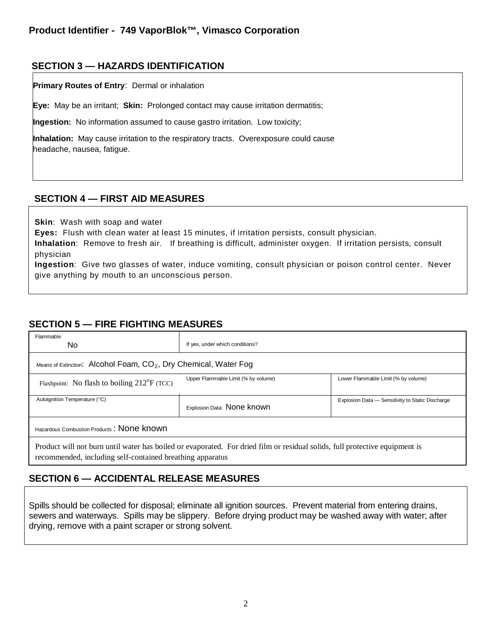#### **SECTION 3 — HAZARDS IDENTIFICATION**

**Primary Routes of Entry**: Dermal or inhalation

**Eye:** May be an irritant; **Skin:** Prolonged contact may cause irritation dermatitis;

**Ingestion:** No information assumed to cause gastro irritation. Low toxicity;

**Inhalation:** May cause irritation to the respiratory tracts. Overexposure could cause headache, nausea, fatigue.

#### **SECTION 4 — FIRST AID MEASURES**

**Skin**: Wash with soap and water

**Eyes:** Flush with clean water at least 15 minutes, if irritation persists, consult physician.

**Inhalation**: Remove to fresh air. If breathing is difficult, administer oxygen. If irritation persists, consult physician

**Ingestion**: Give two glasses of water, induce vomiting, consult physician or poison control center. Never give anything by mouth to an unconscious person.

## **SECTION 5 — FIRE FIGHTING MEASURES**

| Flammable<br>No.                                                                                                                                                                         | If yes, under which conditions?     |                                                  |  |  |  |  |
|------------------------------------------------------------------------------------------------------------------------------------------------------------------------------------------|-------------------------------------|--------------------------------------------------|--|--|--|--|
| Means of Extinction: Alcohol Foam, CO <sub>2</sub> , Dry Chemical, Water Fog                                                                                                             |                                     |                                                  |  |  |  |  |
| Flashpoint: No flash to boiling $212^{\circ}F$ (TCC)                                                                                                                                     | Upper Flammable Limit (% by volume) | Lower Flammable Limit (% by volume)              |  |  |  |  |
| Autoignition Temperature (°C)                                                                                                                                                            | Explosion Data: None known          | Explosion Data - Sensitivity to Static Discharge |  |  |  |  |
| Hazardous Combustion Products: None known                                                                                                                                                |                                     |                                                  |  |  |  |  |
| Product will not burn until water has boiled or evaporated. For dried film or residual solids, full protective equipment is<br>recommended, including self-contained breathing apparatus |                                     |                                                  |  |  |  |  |

## **SECTION 6 — ACCIDENTAL RELEASE MEASURES**

Spills should be collected for disposal; eliminate all ignition sources. Prevent material from entering drains, sewers and waterways. Spills may be slippery. Before drying product may be washed away with water; after drying, remove with a paint scraper or strong solvent.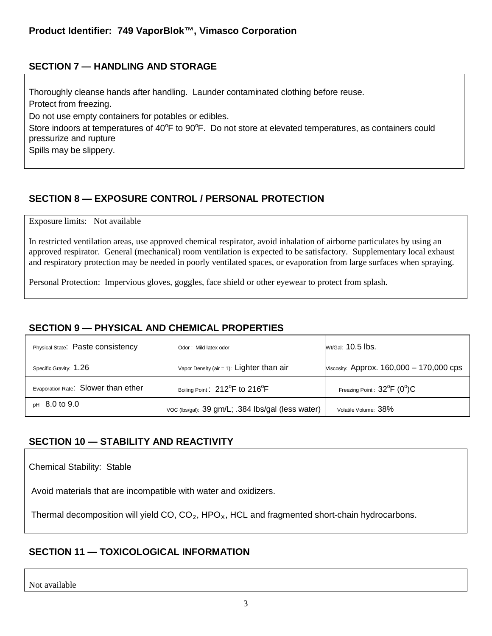## **SECTION 7 — HANDLING AND STORAGE**

Thoroughly cleanse hands after handling. Launder contaminated clothing before reuse. Protect from freezing. Do not use empty containers for potables or edibles. Store indoors at temperatures of 40°F to 90°F. Do not store at elevated temperatures, as containers could pressurize and rupture Spills may be slippery.

# **SECTION 8 — EXPOSURE CONTROL / PERSONAL PROTECTION**

Exposure limits: Not available

In restricted ventilation areas, use approved chemical respirator, avoid inhalation of airborne particulates by using an approved respirator. General (mechanical) room ventilation is expected to be satisfactory. Supplementary local exhaust and respiratory protection may be needed in poorly ventilated spaces, or evaporation from large surfaces when spraying.

Personal Protection: Impervious gloves, goggles, face shield or other eyewear to protect from splash.

#### **SECTION 9 — PHYSICAL AND CHEMICAL PROPERTIES**

| Physical State: Paste consistency   | Odor: Mild latex odor                                   | Wt/Gal: 10.5 lbs.                          |
|-------------------------------------|---------------------------------------------------------|--------------------------------------------|
| Specific Gravity: 1.26              | Vapor Density (air = 1): $Lighter than air$             | Viscosity: Approx. $160,000 - 170,000$ cps |
| Evaporation Rate: Slower than ether | Boiling Point: 212 <sup>°</sup> F to 216 <sup>°</sup> F | Freezing Point : $32^{\circ}F$ (0°)C       |
| $pH$ 8.0 to 9.0                     | Voc (lbs/gal): 39 gm/L; .384 lbs/gal (less water)       | Volatile Volume: 38%                       |

## **SECTION 10 — STABILITY AND REACTIVITY**

Chemical Stability: Stable

Avoid materials that are incompatible with water and oxidizers.

Thermal decomposition will yield CO,  $CO<sub>2</sub>$ , HPO<sub>x</sub>, HCL and fragmented short-chain hydrocarbons.

## **SECTION 11 — TOXICOLOGICAL INFORMATION**

Not available